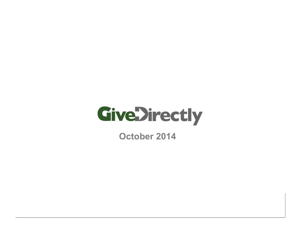

**October 2014**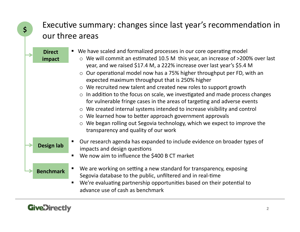### **\$** Executive summary: changes since last year's recommendation in our three areas

**Direct** 

■ We have scaled and formalized processes in our core operating model

### **impact**

- $\circ$  We will commit an estimated 10.5 M this year, an increase of >200% over last year, and we raised \$17.4 M, a 222% increase over last year's \$5.4 M
- $\circ$  Our operational model now has a 75% higher throughput per FD, with an expected maximum throughput that is 250% higher
- $\circ$  We recruited new talent and created new roles to support growth
- $\circ$  In addition to the focus on scale, we investigated and made process changes for vulnerable fringe cases in the areas of targeting and adverse events
- $\circ$  We created internal systems intended to increase visibility and control
- $\circ$  We learned how to better approach government approvals
- $\circ$  We began rolling out Segovia technology, which we expect to improve the transparency and quality of our work
- Our research agenda has expanded to include evidence on broader types of impacts and design questions
	- We now aim to influence the \$400 B CT market
	- We are working on setting a new standard for transparency, exposing Segovia database to the public, unfiltered and in real-time
		- We're evaluating partnership opportunities based on their potential to advance use of cash as benchmark



**Design lab** 

**Benchmark**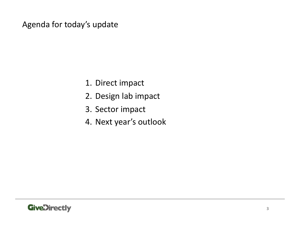Agenda for today's update

- 1. Direct impact
- 2. Design lab impact
- 3. Sector impact
- 4. Next year's outlook

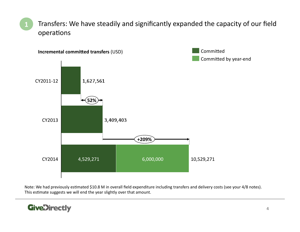Transfers: We have steadily and significantly expanded the capacity of our field operations **1** 



Note: We had previously estimated \$10.8 M in overall field expenditure including transfers and delivery costs (see your 4/8 notes). This estimate suggests we will end the year slightly over that amount.

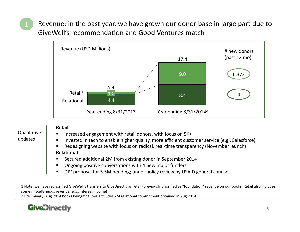Revenue: in the past year, we have grown our donor base in large part due to GiveWell's recommendation and Good Ventures match



### Oualitative updates

**1** 

#### **Retail**

- Increased engagement with retail donors, with focus on 5K+
- Invested in tech to enable higher quality, more efficient customer service (e.g., Salesforce)
- Redesigning website with focus on radical, real-time transparency (November launch) **Relational**
- Secured additional 2M from existing donor in September 2014
- Ongoing positive conversations with 4 new major funders
- DIV proposal for 5.5M pending; under policy review by USAID general counsel

1 Note: we have reclassified GiveWell's transfers to GiveDirectly as retail (previously classified as "foundation" revenue on our books. Retail also includes some miscellaneous revenue (e.g., interest income)

2 Preliminary; Aug 2014 books being finalized. Excludes 2M relational commitment obtained in Aug 2014

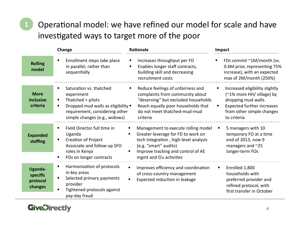# Operational model: we have refined our model for scale and have investigated ways to target more of the poor

| Change                                            |                                                                                                                                                                                                 | Rationale                                                                                                                                                                                                    | Impact                                                                                                                                                                        |  |
|---------------------------------------------------|-------------------------------------------------------------------------------------------------------------------------------------------------------------------------------------------------|--------------------------------------------------------------------------------------------------------------------------------------------------------------------------------------------------------------|-------------------------------------------------------------------------------------------------------------------------------------------------------------------------------|--|
| <b>Rolling</b><br>model                           | Enrollment steps take place<br>٠<br>in parallel, rather than<br>sequentially                                                                                                                    | Increases throughput per FD<br>Enables longer staff contracts,<br>building skill and decreasing<br>recruitment costs                                                                                         | FDs commit ~1M/month (vs.<br>0.6M prior, representing 75%<br>increase), with an expected<br>max of $2M/m$ onth (250%)                                                         |  |
| <b>More</b><br>inclusive<br>criteria              | Saturation vs. thatched<br>п<br>experiment<br>Thatched + pilots<br>п<br>Dropped mud walls as eligibility .<br>$\blacksquare$<br>requirement, considering other<br>simple changes (e.g., widows) | Reduce feelings of unfairness and<br>٠<br>complaints from community about<br>"deserving" but excluded households<br>Reach equally poor households that<br>do not meet thatched-mud-mud<br>criteria           | Increased eligibility slightly<br>٠<br>(~1% more HH/ village) by<br>dropping mud walls.<br><b>Expected further increases</b><br>٠<br>from other simple changes<br>to criteria |  |
| <b>Expanded</b><br>staffing                       | Field Director full time in<br>п<br>Uganda<br><b>Creation of Project</b><br>Associate and follow-up SFO<br>roles in Kenya<br>FOs on longer contracts                                            | Management to execute rolling model<br>Greater leverage for FD to work on<br>tech integration, high-level analysis<br>(e.g. "smart" audits)<br>Improve tracking and control of AE<br>mgmt and f/u activities | 5 managers with 10<br>٠<br>temporary FO at a time<br>end of 2013, now 9<br>managers and $\approx$ 25<br>longer-term FOs                                                       |  |
| <b>Uganda-</b><br>specific<br>protocol<br>changes | Harmonization of protocols<br>in key areas<br>Selected primary payments<br>Е<br>provider<br>Tightened protocols against<br>л<br>pay-day fraud                                                   | Improves efficiency and coordination<br>of cross-country management<br>Expected reduction in leakage                                                                                                         | Enrolled 1,800<br>п<br>households with<br>preferred provider and<br>refined protocol, with<br>first transfer in October                                                       |  |

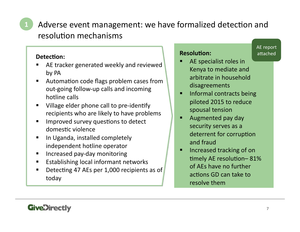## Adverse event management: we have formalized detection and resolution mechanisms

### Detection:

- AE tracker generated weekly and reviewed by PA
- Automation code flags problem cases from out-going follow-up calls and incoming hotline calls
- Village elder phone call to pre-identify recipients who are likely to have problems
- Improved survey questions to detect domestic violence
- In Uganda, installed completely independent hotline operator
- **IF Increased pay-day monitoring**
- **Establishing local informant networks**
- **Detecting 47 AEs per 1,000 recipients as of** today

### **Resolution:**

- **AE** report attached
- AE specialist roles in Kenya to mediate and arbitrate in household disagreements
- Informal contracts being piloted 2015 to reduce spousal tension
- Augmented pay day security serves as a deterrent for corruption and fraud
- Increased tracking of on timely AE resolution-81% of AEs have no further actions GD can take to resolve them

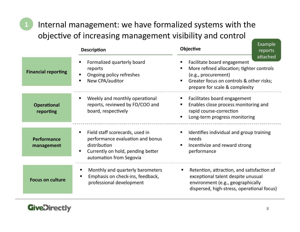## Internal management: we have formalized systems with the objective of increasing management visibility and control

|                                 | <b>Description</b>                                                                                                                                  | Example<br>Objective<br>reports<br>attached                                                                                                                                   |
|---------------------------------|-----------------------------------------------------------------------------------------------------------------------------------------------------|-------------------------------------------------------------------------------------------------------------------------------------------------------------------------------|
| <b>Financial reporting</b>      | Formalized quarterly board<br>reports<br>Ongoing policy refreshes<br>New CPA/auditor                                                                | Facilitate board engagement<br>More refined allocation; tighter controls<br>(e.g., procurement)<br>Greater focus on controls & other risks;<br>prepare for scale & complexity |
| <b>Operational</b><br>reporting | Weekly and monthly operational<br>reports, reviewed by FD/COO and<br>board, respectively                                                            | Facilitates board engagement<br>Enables close process monitoring and<br>rapid course-correction<br>Long-term progress monitoring                                              |
| Performance<br>management       | Field staff scorecards, used in<br>performance evaluation and bonus<br>distribution<br>Currently on hold, pending better<br>automation from Segovia | Identifies individual and group training<br>needs<br>Incentivize and reward strong<br>performance                                                                             |
| <b>Focus on culture</b>         | Monthly and quarterly barometers<br>Emphasis on check-ins, feedback,<br>professional development                                                    | Retention, attraction, and satisfaction of<br>exceptional talent despite unusual<br>environment (e.g., geographically<br>dispersed, high-stress, operational focus)           |

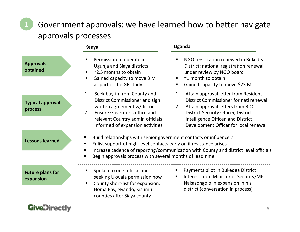Government approvals: we have learned how to better navigate approvals processes

|                                      | Kenya                                                                                                                                                                                                             | <b>Uganda</b>                                                                                                                                                                                                                                                |
|--------------------------------------|-------------------------------------------------------------------------------------------------------------------------------------------------------------------------------------------------------------------|--------------------------------------------------------------------------------------------------------------------------------------------------------------------------------------------------------------------------------------------------------------|
| <b>Approvals</b><br>obtained         | Permission to operate in<br>Ugunja and Siaya districts<br>~2.5 months to obtain<br>$\blacksquare$<br>Gained capacity to move 3 M<br>$\blacksquare$<br>as part of the GE study                                     | NGO registration renewed in Bukedea<br>District; national registration renewal<br>under review by NGO board<br>~1 month to obtain<br>Gained capacity to move \$23 M                                                                                          |
| <b>Typical approval</b><br>process   | Seek buy-in from County and<br>1.<br>District Commissioner and sign<br>written agreement w/district<br>Ensure Governor's office and<br>2.<br>relevant Country admin officials<br>informed of expansion activities | Attain approval letter from Resident<br>1.<br>District Commissioner for natl renewal<br>Attain approval letters from RDC,<br>2.<br><b>District Security Officer, District</b><br>Intelligence Officer, and District<br>Development Officer for local renewal |
| <b>Lessons learned</b>               | Build relationships with senior government contacts or influencers<br>Enlist support of high-level contacts early on if resistance arises<br>п<br>Begin approvals process with several months of lead time        | Increase cadence of reporting/communication with County and district level officials                                                                                                                                                                         |
| <b>Future plans for</b><br>expansion | Spoken to one official and<br>$\blacksquare$<br>seeking Ukwala permission now<br>County short-list for expansion:<br>$\blacksquare$<br>Homa Bay, Nyando, Kisumu<br>counties after Siaya county                    | Payments pilot in Bukedea District<br>Interest from Minister of Security/MP<br>٠<br>Nakasongolo in expansion in his<br>district (conversation in process)                                                                                                    |

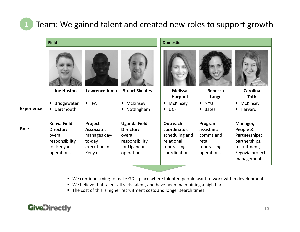### Team: We gained talent and created new roles to support growth

|                   | <b>Field</b>                                                                      |                                                                          |                                                                                            | <b>Domestic</b>                                                                         |                                                                           |                                                                                                         |  |
|-------------------|-----------------------------------------------------------------------------------|--------------------------------------------------------------------------|--------------------------------------------------------------------------------------------|-----------------------------------------------------------------------------------------|---------------------------------------------------------------------------|---------------------------------------------------------------------------------------------------------|--|
|                   |                                                                                   |                                                                          |                                                                                            |                                                                                         |                                                                           |                                                                                                         |  |
|                   | <b>Joe Huston</b>                                                                 | Lawrence Juma                                                            | <b>Stuart Skeates</b>                                                                      | <b>Melissa</b><br>Harpool                                                               | Rebecca<br>Lange                                                          | <b>Carolina</b><br><b>Toth</b>                                                                          |  |
|                   | <b>Bridgewater</b>                                                                | $\blacksquare$ IPA                                                       | • McKinsey                                                                                 | McKinsey<br>٠                                                                           | <b>NYU</b>                                                                | • McKinsey                                                                                              |  |
| <b>Experience</b> | Dartmouth<br>٠                                                                    |                                                                          | Nottingham                                                                                 | <b>UCF</b><br>$\blacksquare$                                                            | <b>Bates</b><br>٠                                                         | - Harvard                                                                                               |  |
| Role              | Kenya Field<br>Director:<br>overall<br>responsibility<br>for Kenyan<br>operations | Project<br>Associate:<br>manages day-<br>to-day<br>execution in<br>Kenya | <b>Uganda Field</b><br>Director:<br>overall<br>responsibility<br>for Ugandan<br>operations | Outreach<br>coordinator:<br>scheduling and<br>relational<br>fundraising<br>coordination | Program<br>assistant:<br>comms and<br>retail<br>fundraising<br>operations | Manager,<br>People &<br>Partnerships:<br>partnerships,<br>recruitment,<br>Segovia project<br>management |  |

- " We continue trying to make GD a place where talented people want to work within development
- " We believe that talent attracts talent, and have been maintaining a high bar
- " The cost of this is higher recruitment costs and longer search times

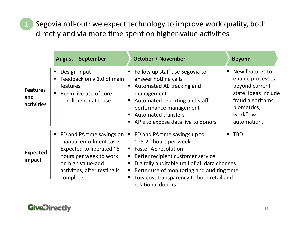Segovia roll-out: we expect technology to improve work quality, both directly and via more time spent on higher-value activities

|                                      | <b>August + September</b>                                                                                                                                                                         | <b>October + November</b>                                                                                                                                                                                                                                                                                      | <b>Beyond</b>                                                                                                                                  |
|--------------------------------------|---------------------------------------------------------------------------------------------------------------------------------------------------------------------------------------------------|----------------------------------------------------------------------------------------------------------------------------------------------------------------------------------------------------------------------------------------------------------------------------------------------------------------|------------------------------------------------------------------------------------------------------------------------------------------------|
| <b>Features</b><br>and<br>activities | Design input<br>Feedback on v 1.0 of main<br>features<br>Begin live use of core<br>enrollment database                                                                                            | Follow up staff use Segovia to<br>answer hotline calls<br>Automated AE tracking and<br>management<br>Automated reporting and staff<br>performance management<br>■ Automated transfers<br>APIs to expose data live to donors                                                                                    | ■ New features to<br>enable processes<br>beyond current<br>state. Ideas include<br>fraud algorithms,<br>biometrics,<br>workflow<br>automation. |
| <b>Expected</b><br>impact            | FD and PA time savings on $\blacksquare$<br>manual enrollment tasks.<br>Expected to liberated $\sim$ 8<br>hours per week to work<br>on high value-add<br>activities, after testing is<br>complete | FD and PA time savings up to<br>$\sim$ 15-20 hours per week<br><b>Faster AE resolution</b><br>п<br>Better recipient customer service<br>Е<br>Digitally auditable trail of all data changes<br>Better use of monitoring and auditing time<br>п<br>Low-cost transparency to both retail and<br>relational donors | <b>TBD</b>                                                                                                                                     |

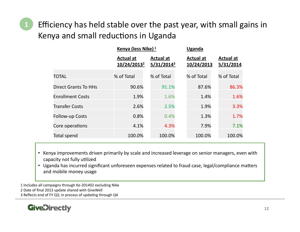Efficiency has held stable over the past year, with small gains in Kenya and small reductions in Uganda

|                             | Kenya (less Nike) <sup>1</sup>              |                                   | <b>Uganda</b>                  |                               |  |  |
|-----------------------------|---------------------------------------------|-----------------------------------|--------------------------------|-------------------------------|--|--|
|                             | <b>Actual at</b><br>10/24/2013 <sup>2</sup> | <b>Actual at</b><br>$5/31/2014^3$ | <b>Actual at</b><br>10/24/2013 | <b>Actual at</b><br>5/31/2014 |  |  |
| <b>TOTAL</b>                | % of Total                                  | % of Total                        | % of Total                     | % of Total                    |  |  |
| <b>Direct Grants To HHs</b> | 90.6%                                       | 91.1%                             | 87.6%                          | 86.3%                         |  |  |
| <b>Enrollment Costs</b>     | 1.9%                                        | 1.6%                              | 1.4%                           | 1.6%                          |  |  |
| <b>Transfer Costs</b>       | 2.6%                                        | 2.5%                              | 1.9%                           | 3.3%                          |  |  |
| <b>Follow-up Costs</b>      | 0.8%                                        | 0.4%                              | 1.3%                           | 1.7%                          |  |  |
| Core operations             | 4.1%                                        | 4.3%                              | 7.9%                           | 7.1%                          |  |  |
| Total spend                 | 100.0%                                      | 100.0%                            | 100.0%                         | 100.0%                        |  |  |

- Kenya improvements driven primarily by scale and increased leverage on senior managers, even with capacity not fully utilized
- Uganda has incurred significant unforeseen expenses related to fraud case, legal/compliance matters and mobile money usage

1 Includes all campaigns through Ke-201402 excluding Nike 2 Date of final 2013 update shared with GiveWell 3 Reflects end of FY Q3; in process of updating through Q4

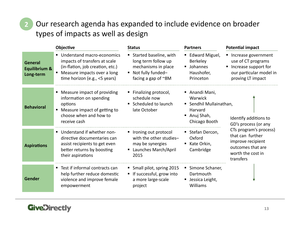### Our research agenda has expanded to include evidence on broader types of impacts as well as design

|                                              | Objective                                                                                                                                                            | <b>Status</b>                                                                                                          | <b>Partners</b>                                                                                  | <b>Potential impact</b>                                                                                                                                                 |
|----------------------------------------------|----------------------------------------------------------------------------------------------------------------------------------------------------------------------|------------------------------------------------------------------------------------------------------------------------|--------------------------------------------------------------------------------------------------|-------------------------------------------------------------------------------------------------------------------------------------------------------------------------|
| <b>General</b><br>Equilibrium &<br>Long-term | Understand macro-economics<br>impacts of transfers at scale<br>(in-flation, job creation, etc.)<br>Measure impacts over a long<br>٠<br>time horizon (e.g., <5 years) | Started baseline, with<br>long term follow up<br>mechanisms in place<br>Not fully funded-<br>facing a gap of $\sim$ 8M | ■ Edward Miguel,<br><b>Berkeley</b><br><b>Johannes</b><br>Haushofer,<br>Princeton                | ■ Increase government<br>use of CT programs<br>Increase support for<br>our particular model in<br>proving LT impact                                                     |
| <b>Behavioral</b>                            | Measure impact of providing<br>information on spending<br>options<br>■ Measure impact of getting to<br>choose when and how to<br>receive cash                        | Finalizing protocol,<br>schedule now<br>■ Scheduled to launch<br>late October                                          | ■ Anandi Mani,<br>Warwick<br>■ Sendhil Mullainathan,<br>Harvard<br>■ Anuj Shah,<br>Chicago Booth | Identify additions to<br>GD's process (or any<br>CTs program's process)<br>that can further<br>improve recipient<br>outcomes that are<br>worth the cost in<br>transfers |
| <b>Aspirations</b>                           | ■ Understand if whether non-<br>directive documentaries can<br>assist recipients to get even<br>better returns by boosting<br>their aspirations                      | Ironing out protocol<br>with the other studies-<br>may be synergies<br>■ Launches March/April<br>2015                  | Stefan Dercon,<br>Oxford<br>Kate Orkin,<br>Cambridge                                             |                                                                                                                                                                         |
| Gender                                       | Test if informal contracts can<br>help further reduce domestic<br>violence and improve female<br>empowerment                                                         | Small pilot, spring 2015<br>" If successful, grow into<br>a more large-scale<br>project                                | Simone Schaner,<br>Dartmouth<br>Jessica Leight,<br>Williams                                      |                                                                                                                                                                         |

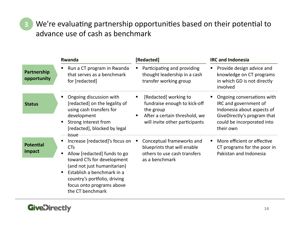We're evaluating partnership opportunities based on their potential to advance use of cash as benchmark

|                            | Rwanda                                                                                                                                                                                                                                                   | [Redacted]                                                                                                                                      | <b>IRC and Indonesia</b>                                                                                                                                    |
|----------------------------|----------------------------------------------------------------------------------------------------------------------------------------------------------------------------------------------------------------------------------------------------------|-------------------------------------------------------------------------------------------------------------------------------------------------|-------------------------------------------------------------------------------------------------------------------------------------------------------------|
| Partnership<br>opportunity | Run a CT program in Rwanda<br>that serves as a benchmark<br>for [redacted]                                                                                                                                                                               | Participating and providing<br>ш<br>thought leadership in a cash<br>transfer working group                                                      | Provide design advice and<br>knowledge on CT programs<br>in which GD is not directly<br>involved                                                            |
| <b>Status</b>              | Ongoing discussion with<br>[redacted] on the legality of<br>using cash transfers for<br>development<br>Strong interest from<br>[redacted], blocked by legal<br><i>issue</i>                                                                              | [Redacted] working to<br>п<br>fundraise enough to kick-off<br>the group<br>After a certain threshold, we<br>٠<br>will invite other participants | Ongoing conversations with<br>IRC and government of<br>Indonesia about aspects of<br>GiveDirectly's program that<br>could be incorporated into<br>their own |
| <b>Potential</b><br>impact | Increase [redacted]'s focus on<br><b>CTs</b><br>Allow [redacted] funds to go<br>toward CTs for development<br>(and not just humanitarian)<br>Establish a benchmark in a<br>country's portfolio, driving<br>focus onto programs above<br>the CT benchmark | Conceptual frameworks and<br>blueprints that will enable<br>others to use cash transfers<br>as a benchmark                                      | More efficient or effective<br>CT programs for the poor in<br>Pakistan and Indonesia                                                                        |